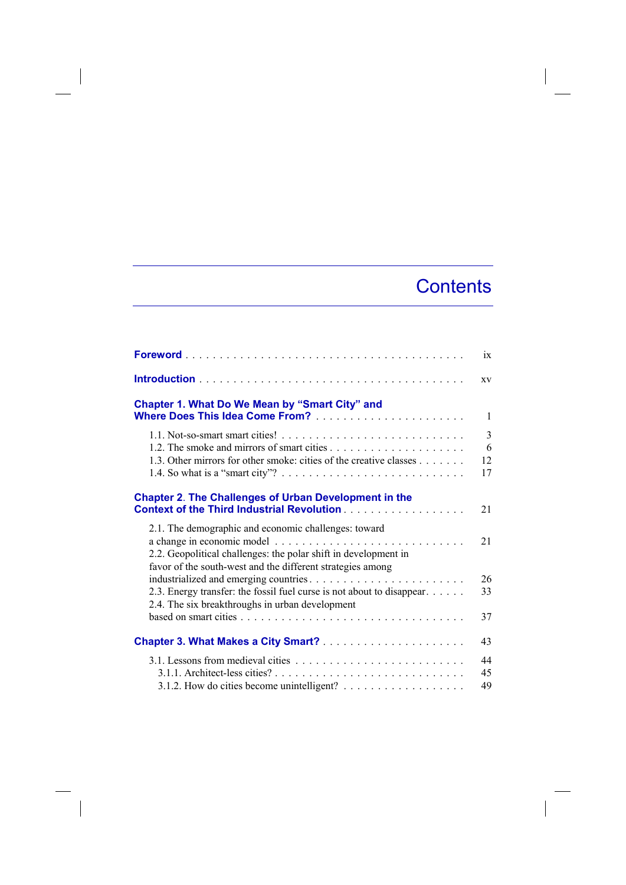## **Contents**

 $\overline{\phantom{a}}$ 

|                                                                                                                                                                                       | ix                 |
|---------------------------------------------------------------------------------------------------------------------------------------------------------------------------------------|--------------------|
|                                                                                                                                                                                       | XV                 |
| <b>Chapter 1. What Do We Mean by "Smart City" and</b>                                                                                                                                 | $\mathbf{1}$       |
| 1.3. Other mirrors for other smoke: cities of the creative classes                                                                                                                    | 3<br>6<br>12<br>17 |
| <b>Chapter 2. The Challenges of Urban Development in the</b>                                                                                                                          | 21                 |
| 2.1. The demographic and economic challenges: toward<br>2.2. Geopolitical challenges: the polar shift in development in<br>favor of the south-west and the different strategies among | 21                 |
| 2.3. Energy transfer: the fossil fuel curse is not about to disappear.<br>2.4. The six breakthroughs in urban development                                                             | 26<br>33           |
|                                                                                                                                                                                       | 37                 |
|                                                                                                                                                                                       | 43                 |
|                                                                                                                                                                                       | 44<br>45<br>49     |

 $\begin{array}{c} \hline \end{array}$ 

 $\overline{\phantom{a}}$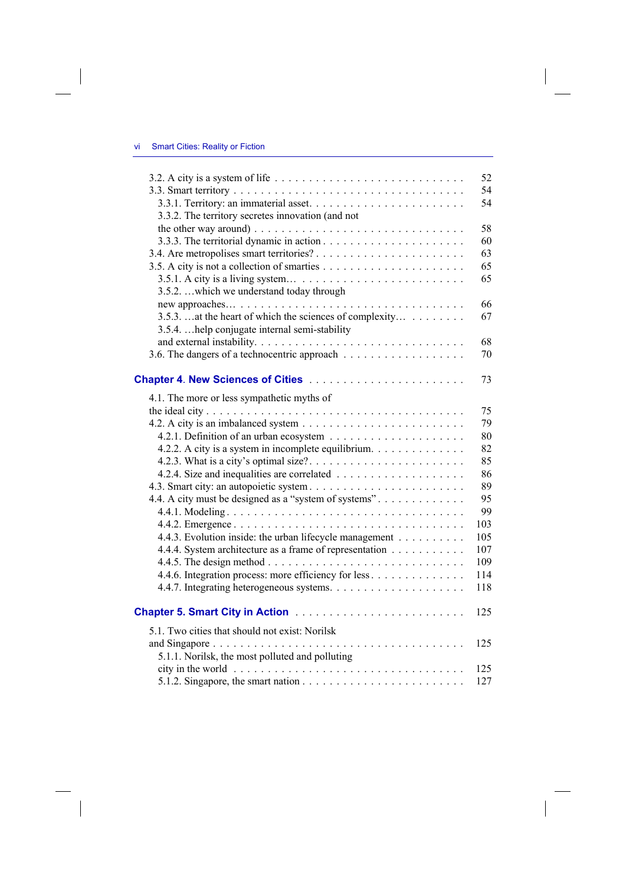$\overline{\phantom{a}}$ 

 $\overline{\phantom{a}}$ 

|                                                          | 52  |
|----------------------------------------------------------|-----|
|                                                          | 54  |
|                                                          | 54  |
| 3.3.2. The territory secretes innovation (and not        |     |
|                                                          | 58  |
|                                                          | 60  |
|                                                          | 63  |
|                                                          | 65  |
|                                                          | 65  |
| 3.5.2. which we understand today through                 |     |
|                                                          | 66  |
| 3.5.3.  at the heart of which the sciences of complexity | 67  |
| 3.5.4.  help conjugate internal semi-stability           |     |
|                                                          | 68  |
|                                                          | 70  |
|                                                          |     |
| Chapter 4. New Sciences of Cities                        | 73  |
| 4.1. The more or less sympathetic myths of               |     |
|                                                          | 75  |
|                                                          | 79  |
|                                                          | 80  |
| 4.2.2. A city is a system in incomplete equilibrium.     | 82  |
|                                                          | 85  |
|                                                          | 86  |
|                                                          | 89  |
| 4.4. A city must be designed as a "system of systems".   | 95  |
|                                                          | 99  |
|                                                          | 103 |
| 4.4.3. Evolution inside: the urban lifecycle management  | 105 |
| 4.4.4. System architecture as a frame of representation  | 107 |
|                                                          | 109 |
| 4.4.6. Integration process: more efficiency for less     | 114 |
|                                                          | 118 |
|                                                          | 125 |
| 5.1. Two cities that should not exist: Norilsk           |     |
|                                                          | 125 |
| 5.1.1. Norilsk, the most polluted and polluting          |     |
|                                                          | 125 |
|                                                          | 127 |
|                                                          |     |